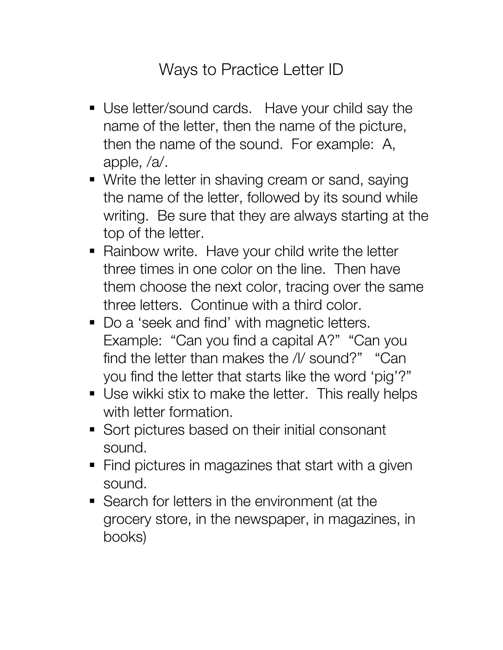## Ways to Practice Letter ID

- Use letter/sound cards. Have your child say the name of the letter, then the name of the picture, then the name of the sound. For example: A, apple, /a/.
- Write the letter in shaving cream or sand, saying the name of the letter, followed by its sound while writing. Be sure that they are always starting at the top of the letter.
- Rainbow write. Have your child write the letter three times in one color on the line. Then have them choose the next color, tracing over the same three letters. Continue with a third color.
- Do a 'seek and find' with magnetic letters. Example: "Can you find a capital A?" "Can you find the letter than makes the /l/ sound?" "Can you find the letter that starts like the word 'pig'?"
- Use wikki stix to make the letter. This really helps with letter formation.
- Sort pictures based on their initial consonant sound.
- Find pictures in magazines that start with a given sound.
- Search for letters in the environment (at the grocery store, in the newspaper, in magazines, in books)